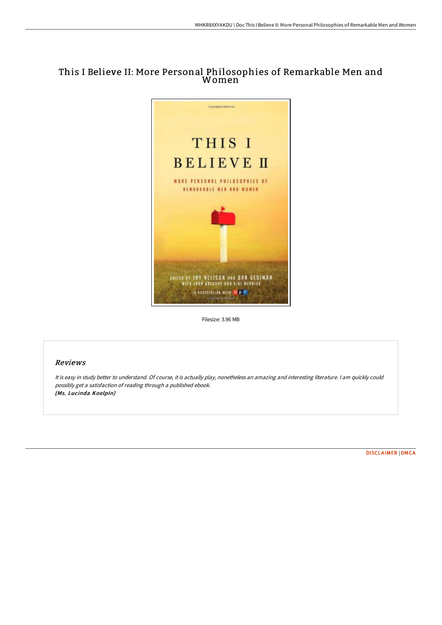# This I Believe II: More Personal Philosophies of Remarkable Men and Women



Filesize: 3.96 MB

### Reviews

It is easy in study better to understand. Of course, it is actually play, nonetheless an amazing and interesting literature. <sup>I</sup> am quickly could possibly get <sup>a</sup> satisfaction of reading through <sup>a</sup> published ebook. (Ms. Lucinda Koelpin)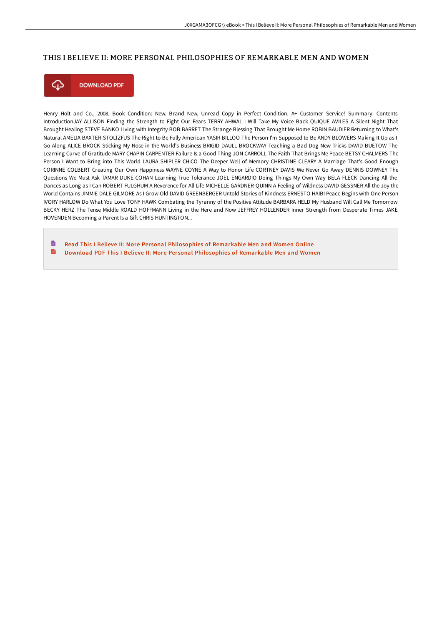### THIS I BELIEVE II: MORE PERSONAL PHILOSOPHIES OF REMARKABLE MEN AND WOMEN



Henry Holt and Co., 2008. Book Condition: New. Brand New, Unread Copy in Perfect Condition. A+ Customer Service! Summary: Contents IntroductionJAY ALLISON Finding the Strength to Fight Our Fears TERRY AHWAL I Will Take My Voice Back QUIQUE AVILES A Silent Night That Brought Healing STEVE BANKO Living with Integrity BOB BARRET The Strange Blessing That Brought Me Home ROBIN BAUDIER Returning to What's Natural AMELIA BAXTER-STOLTZFUS The Right to Be Fully American YASIR BILLOO The Person I'm Supposed to Be ANDY BLOWERS Making It Up as I Go Along ALICE BROCK Sticking My Nose in the World's Business BRIGID DAULL BROCKWAY Teaching a Bad Dog New Tricks DAVID BUETOW The Learning Curve of Gratitude MARY CHAPIN CARPENTER Failure Is a Good Thing JON CARROLL The Faith That Brings Me Peace BETSY CHALMERS The Person I Want to Bring into This World LAURA SHIPLER CHICO The Deeper Well of Memory CHRISTINE CLEARY A Marriage That's Good Enough CORINNE COLBERT Creating Our Own Happiness WAYNE COYNE A Way to Honor Life CORTNEY DAVIS We Never Go Away DENNIS DOWNEY The Questions We Must Ask TAMAR DUKE-COHAN Learning True Tolerance JOEL ENGARDIO Doing Things My Own Way BELA FLECK Dancing All the Dances as Long as I Can ROBERT FULGHUM A Reverence for All Life MICHELLE GARDNER-QUINN A Feeling of Wildness DAVID GESSNER All the Joy the World Contains JIMMIE DALE GILMORE As I Grow Old DAVID GREENBERGER Untold Stories of Kindness ERNESTO HAIBI Peace Begins with One Person IVORY HARLOW Do What You Love TONY HAWK Combating the Tyranny of the Positive Attitude BARBARA HELD My Husband Will Call Me Tomorrow BECKY HERZ The Tense Middle ROALD HOFFMANN Living in the Here and Now JEFFREY HOLLENDER Inner Strength from Desperate Times JAKE HOVENDEN Becoming a Parent Is a Gift CHRIS HUNTINGTON...

h Read This I Believe II: More Personal [Philosophies](http://digilib.live/this-i-believe-ii-more-personal-philosophies-of-.html) of Remarkable Men and Women Online  $\mathbf{m}$ Download PDF This I Believe II: More Per sonal [Philosophies](http://digilib.live/this-i-believe-ii-more-personal-philosophies-of-.html) of Remarkable Men and Women